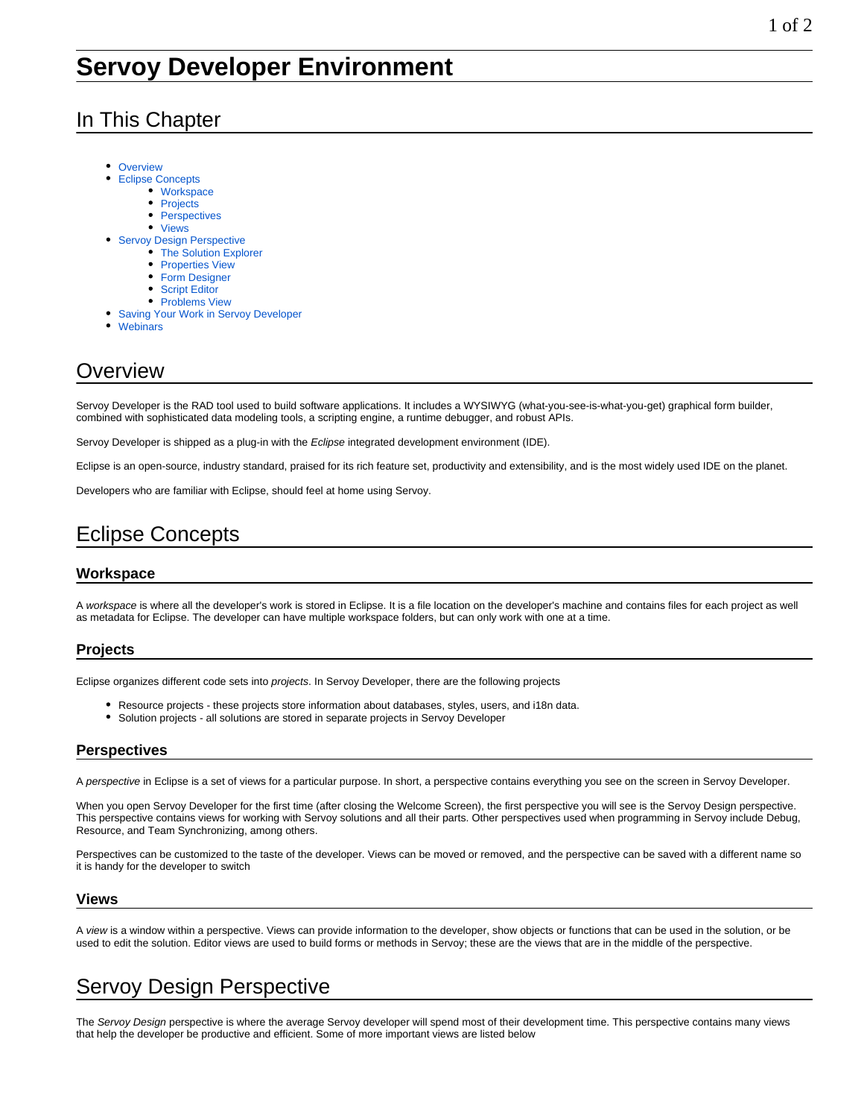### In This Chapter

- **[Overview](#page-0-0)**  $\bullet$ 
	- [Eclipse Concepts](#page-0-1)
		- [Workspace](#page-0-2)
		- [Projects](#page-0-3)
		- $\bullet$ **[Perspectives](#page-0-4)**
		- [Views](#page-0-5)
- **[Servoy Design Perspective](#page-0-6)** 
	- [The Solution Explorer](#page-0-7)
	- [Properties View](#page-1-0)
	- [Form Designer](#page-1-1)
	- [Script Editor](#page-1-2)
	- [Problems View](#page-1-3)
- [Saving Your Work in Servoy Developer](#page-1-4)
- [Webinars](#page-1-5)

## <span id="page-0-0"></span>**Overview**

Servoy Developer is the RAD tool used to build software applications. It includes a WYSIWYG (what-you-see-is-what-you-get) graphical form builder, combined with sophisticated data modeling tools, a scripting engine, a runtime debugger, and robust APIs.

Servoy Developer is shipped as a plug-in with the Eclipse integrated development environment (IDE).

Eclipse is an open-source, industry standard, praised for its rich feature set, productivity and extensibility, and is the most widely used IDE on the planet.

Developers who are familiar with Eclipse, should feel at home using Servoy.

# <span id="page-0-1"></span>Eclipse Concepts

### <span id="page-0-2"></span>**Workspace**

A workspace is where all the developer's work is stored in Eclipse. It is a file location on the developer's machine and contains files for each project as well as metadata for Eclipse. The developer can have multiple workspace folders, but can only work with one at a time.

#### <span id="page-0-3"></span>**Projects**

Eclipse organizes different code sets into projects. In Servoy Developer, there are the following projects

- Resource projects these projects store information about databases, styles, users, and i18n data.
- Solution projects all solutions are stored in separate projects in Servoy Developer

#### <span id="page-0-4"></span>**Perspectives**

A perspective in Eclipse is a set of views for a particular purpose. In short, a perspective contains everything you see on the screen in Servoy Developer.

When you open Servoy Developer for the first time (after closing the Welcome Screen), the first perspective you will see is the Servoy Design perspective. This perspective contains views for working with Servoy solutions and all their parts. Other perspectives used when programming in Servoy include Debug, Resource, and Team Synchronizing, among others.

Perspectives can be customized to the taste of the developer. Views can be moved or removed, and the perspective can be saved with a different name so it is handy for the developer to switch

#### <span id="page-0-5"></span>**Views**

A view is a window within a perspective. Views can provide information to the developer, show objects or functions that can be used in the solution, or be used to edit the solution. Editor views are used to build forms or methods in Servoy; these are the views that are in the middle of the perspective.

# <span id="page-0-6"></span>Servoy Design Perspective

<span id="page-0-7"></span>The Servoy Design perspective is where the average Servoy developer will spend most of their development time. This perspective contains many views that help the developer be productive and efficient. Some of more important views are listed below